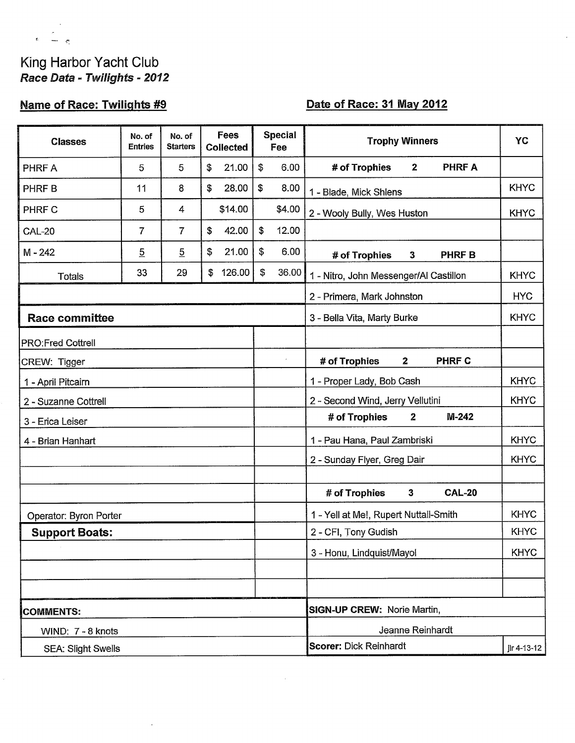# King Harbor Yacht Club Race Data - Twilights - 2012

 $\mathbf{g}^{(i)}$ 

 $\rightarrow$   $\sigma$ 

# Name of Race: Twilights #9

## Date of Race: 31 May 2012

| <b>Classes</b>            | No. of<br><b>Entries</b> | No. of<br><b>Starters</b> | <b>Fees</b><br><b>Collected</b> | <b>Special</b><br>Fee | <b>Trophy Winners</b>                                | YC          |  |  |
|---------------------------|--------------------------|---------------------------|---------------------------------|-----------------------|------------------------------------------------------|-------------|--|--|
| PHRF A                    | 5                        | 5                         | 21.00<br>\$                     | \$<br>6.00            | <b>PHRFA</b><br># of Trophies<br>$\overline{2}$      |             |  |  |
| <b>PHRFB</b>              | 11                       | 8                         | 28.00<br>$\mathfrak{F}$         | \$<br>8.00            | 1 - Blade, Mick Shlens                               | <b>KHYC</b> |  |  |
| PHRF C                    | 5                        | 4                         | \$14.00                         | \$4.00                | 2 - Wooly Bully, Wes Huston                          | <b>KHYC</b> |  |  |
| <b>CAL-20</b>             | 7                        | 7                         | 42.00<br>\$                     | \$<br>12.00           |                                                      |             |  |  |
| $M - 242$                 | $\overline{5}$           | $\overline{5}$            | \$<br>21.00                     | \$<br>6.00            | # of Trophies<br><b>PHRF B</b><br>$\mathbf{3}$       |             |  |  |
| <b>Totals</b>             | 33                       | 29                        | 126.00<br>\$                    | \$<br>36.00           | 1 - Nitro, John Messenger/Al Castillon               | <b>KHYC</b> |  |  |
|                           |                          |                           |                                 |                       | 2 - Primera, Mark Johnston                           | <b>HYC</b>  |  |  |
| <b>Race committee</b>     |                          |                           |                                 |                       | 3 - Bella Vita, Marty Burke                          | <b>KHYC</b> |  |  |
| <b>PRO:Fred Cottrell</b>  |                          |                           |                                 |                       |                                                      |             |  |  |
| CREW: Tigger              |                          |                           |                                 |                       | $\mathbf{2}$<br><b>PHRF C</b><br># of Trophies       |             |  |  |
| 1 - April Pitcairn        |                          |                           |                                 |                       | 1 - Proper Lady, Bob Cash                            | <b>KHYC</b> |  |  |
| 2 - Suzanne Cottrell      |                          |                           |                                 |                       | 2 - Second Wind, Jerry Vellutini                     | <b>KHYC</b> |  |  |
| 3 - Erica Leiser          |                          |                           |                                 |                       | $\mathbf{2}$<br>$M-242$<br># of Trophies             |             |  |  |
| 4 - Brian Hanhart         |                          |                           |                                 |                       | 1 - Pau Hana, Paul Zambriski                         | <b>KHYC</b> |  |  |
|                           |                          |                           |                                 |                       | 2 - Sunday Flyer, Greg Dair                          | <b>KHYC</b> |  |  |
|                           |                          |                           |                                 |                       | <b>CAL-20</b><br># of Trophies<br>$\mathbf{3}$       |             |  |  |
| Operator: Byron Porter    |                          |                           |                                 |                       | <b>KHYC</b><br>1 - Yell at Me!, Rupert Nuttall-Smith |             |  |  |
| <b>Support Boats:</b>     |                          |                           |                                 |                       | 2 - CFI, Tony Gudish                                 | <b>KHYC</b> |  |  |
|                           |                          |                           |                                 |                       | 3 - Honu, Lindquist/Mayol                            | <b>KHYC</b> |  |  |
|                           |                          |                           |                                 |                       |                                                      |             |  |  |
|                           |                          |                           |                                 |                       |                                                      |             |  |  |
| <b>COMMENTS:</b>          |                          |                           |                                 |                       | SIGN-UP CREW: Norie Martin,                          |             |  |  |
| WIND: 7 - 8 knots         |                          |                           |                                 | Jeanne Reinhardt      |                                                      |             |  |  |
| <b>SEA: Slight Swells</b> |                          |                           |                                 |                       | <b>Scorer: Dick Reinhardt</b><br>jlr 4-13-12         |             |  |  |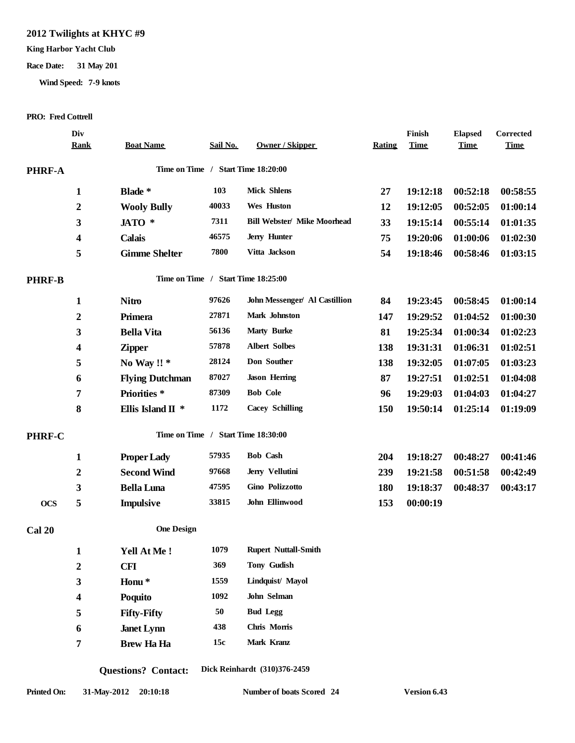### **2012 Twilights at KHYC #9**

#### **King Harbor Yacht Club**

#### **Race Date: 31 May 201**

**Wind Speed: 7-9 knots**

#### **PRO: Fred Cottrell**

|               | Div<br><b>Rank</b> | <b>Boat Name</b>       | Sail No. | <b>Owner / Skipper</b>             | Rating | Finish<br><b>Time</b> | <b>Elapsed</b><br><b>Time</b> | Corrected<br><b>Time</b> |
|---------------|--------------------|------------------------|----------|------------------------------------|--------|-----------------------|-------------------------------|--------------------------|
|               |                    |                        |          |                                    |        |                       |                               |                          |
| <b>PHRF-A</b> |                    |                        |          | Time on Time / Start Time 18:20:00 |        |                       |                               |                          |
|               | $\mathbf{1}$       | Blade *                | 103      | <b>Mick Shlens</b>                 | 27     | 19:12:18              | 00:52:18                      | 00:58:55                 |
|               | $\boldsymbol{2}$   | <b>Wooly Bully</b>     | 40033    | Wes Huston                         | 12     | 19:12:05              | 00:52:05                      | 01:00:14                 |
|               | 3                  | JATO *                 | 7311     | <b>Bill Webster/ Mike Moorhead</b> | 33     | 19:15:14              | 00:55:14                      | 01:01:35                 |
|               | 4                  | <b>Calais</b>          | 46575    | Jerry Hunter                       | 75     | 19:20:06              | 01:00:06                      | 01:02:30                 |
|               | 5                  | <b>Gimme Shelter</b>   | 7800     | Vitta Jackson                      | 54     | 19:18:46              | 00:58:46                      | 01:03:15                 |
| <b>PHRF-B</b> |                    |                        |          | Time on Time / Start Time 18:25:00 |        |                       |                               |                          |
|               | $\mathbf{1}$       | <b>Nitro</b>           | 97626    | John Messenger/ Al Castillion      | 84     | 19:23:45              | 00:58:45                      | 01:00:14                 |
|               | $\boldsymbol{2}$   | Primera                | 27871    | Mark Johnston                      | 147    | 19:29:52              | 01:04:52                      | 01:00:30                 |
|               | $\mathbf{3}$       | <b>Bella Vita</b>      | 56136    | <b>Marty Burke</b>                 | 81     | 19:25:34              | 01:00:34                      | 01:02:23                 |
|               | 4                  | <b>Zipper</b>          | 57878    | <b>Albert Solbes</b>               | 138    | 19:31:31              | 01:06:31                      | 01:02:51                 |
|               | 5                  | No Way !! *            | 28124    | Don Souther                        | 138    | 19:32:05              | 01:07:05                      | 01:03:23                 |
|               | 6                  | <b>Flying Dutchman</b> | 87027    | <b>Jason Herring</b>               | 87     | 19:27:51              | 01:02:51                      | 01:04:08                 |
|               | 7                  | Priorities*            | 87309    | <b>Bob Cole</b>                    | 96     | 19:29:03              | 01:04:03                      | 01:04:27                 |
|               | 8                  | Ellis Island II *      | 1172     | <b>Cacey Schilling</b>             | 150    | 19:50:14              | 01:25:14                      | 01:19:09                 |
| PHRF-C        |                    |                        |          | Time on Time / Start Time 18:30:00 |        |                       |                               |                          |
|               | $\mathbf{1}$       | <b>Proper Lady</b>     | 57935    | <b>Bob Cash</b>                    | 204    | 19:18:27              | 00:48:27                      | 00:41:46                 |
|               | $\boldsymbol{2}$   | <b>Second Wind</b>     | 97668    | Jerry Vellutini                    | 239    | 19:21:58              | 00:51:58                      | 00:42:49                 |
|               | 3                  | <b>Bella Luna</b>      | 47595    | Gino Polizzotto                    | 180    | 19:18:37              | 00:48:37                      | 00:43:17                 |
| <b>OCS</b>    | 5                  | <b>Impulsive</b>       | 33815    | John Ellinwood                     | 153    | 00:00:19              |                               |                          |
| <b>Cal 20</b> |                    | <b>One Design</b>      |          |                                    |        |                       |                               |                          |
|               | $\mathbf{1}$       | <b>Yell At Me !</b>    | 1079     | <b>Rupert Nuttall-Smith</b>        |        |                       |                               |                          |
|               | $\boldsymbol{2}$   | <b>CFI</b>             | 369      | Tony Gudish                        |        |                       |                               |                          |
|               | 3                  | Honu <sup>*</sup>      | 1559     | Lindquist/ Mayol                   |        |                       |                               |                          |
|               | 4                  | Poquito                | 1092     | John Selman                        |        |                       |                               |                          |
|               | 5                  | <b>Fifty-Fifty</b>     | 50       | <b>Bud Legg</b>                    |        |                       |                               |                          |
|               | 6                  | <b>Janet Lynn</b>      | 438      | Chris Morris                       |        |                       |                               |                          |
|               | 7                  | <b>Brew Ha Ha</b>      | 15c      | Mark Kranz                         |        |                       |                               |                          |

**Questions? Contact: Dick Reinhardt (310)376-2459**